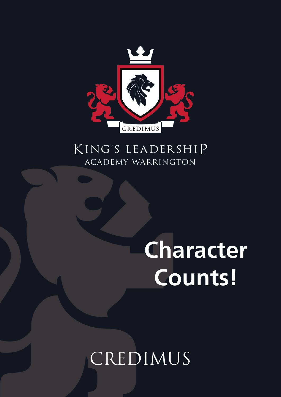

## KING'S LEADERSHIP **ACADEMY WARRINGTON**

# **Character Counts!**

**CREDIMUS**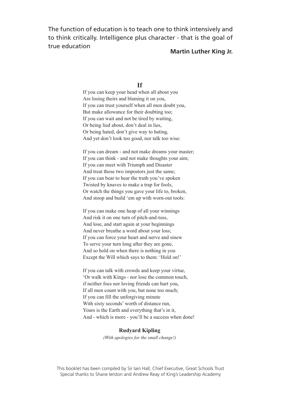The function of education is to teach one to think intensively and to think critically. Intelligence plus character - that is the goal of true education

#### **Martin Luther King Jr.**

**If**

If you can keep your head when all about you Are losing theirs and blaming it on you, If you can trust yourself when all men doubt you, But make allowance for their doubting too; If you can wait and not be tired by waiting, Or being lied about, don't deal in lies, Or being hated, don't give way to hating, And yet don't look too good, nor talk too wise:

If you can dream - and not make dreams your master; If you can think - and not make thoughts your aim; If you can meet with Triumph and Disaster And treat those two impostors just the same; If you can bear to hear the truth you've spoken Twisted by knaves to make a trap for fools, Or watch the things you gave your life to, broken, And stoop and build 'em up with worn-out tools:

If you can make one heap of all your winnings And risk it on one turn of pitch-and-toss, And lose, and start again at your beginnings And never breathe a word about your loss; If you can force your heart and nerve and sinew To serve your turn long after they are gone, And so hold on when there is nothing in you Except the Will which says to them: 'Hold on!'

If you can talk with crowds and keep your virtue, 'Or walk with Kings - nor lose the common touch, if neither foes nor loving friends can hurt you, If all men count with you, but none too much; If you can fill the unforgiving minute With sixty seconds' worth of distance run, Yours is the Earth and everything that's in it, And - which is more - you'll be a success when done!

#### **Rudyard Kipling**

*(With apologies for the small change!)*

This booklet has been compiled by Sir Iain Hall, Chief Executive, Great Schools Trust Special thanks to Shane Ierston and Andrew Reay of King's Leadership Academy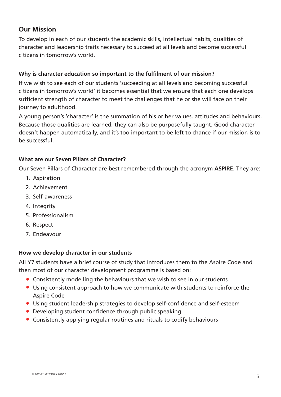#### **Our Mission**

To develop in each of our students the academic skills, intellectual habits, qualities of character and leadership traits necessary to succeed at all levels and become successful citizens in tomorrow's world.

#### **Why is character education so important to the fulfilment of our mission?**

If we wish to see each of our students 'succeeding at all levels and becoming successful citizens in tomorrow's world' it becomes essential that we ensure that each one develops sufficient strength of character to meet the challenges that he or she will face on their journey to adulthood.

A young person's 'character' is the summation of his or her values, attitudes and behaviours. Because those qualities are learned, they can also be purposefully taught. Good character doesn't happen automatically, and it's too important to be left to chance if our mission is to be successful.

#### **What are our Seven Pillars of Character?**

Our Seven Pillars of Character are best remembered through the acronym **ASPIRE**. They are:

- 1. Aspiration
- 2. Achievement
- 3. Self-awareness
- 4. Integrity
- 5. Professionalism
- 6. Respect
- 7. Endeavour

#### **How we develop character in our students**

All Y7 students have a brief course of study that introduces them to the Aspire Code and then most of our character development programme is based on:

- Consistently modelling the behaviours that we wish to see in our students
- Using consistent approach to how we communicate with students to reinforce the Aspire Code
- Using student leadership strategies to develop self-confidence and self-esteem
- Developing student confidence through public speaking
- Consistently applying regular routines and rituals to codify behaviours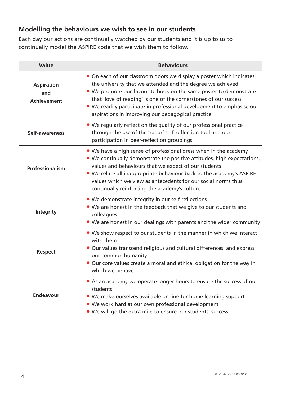## **Modelling the behaviours we wish to see in our students**

Each day our actions are continually watched by our students and it is up to us to continually model the ASPIRE code that we wish them to follow.

| <b>Value</b>                                   | <b>Behaviours</b>                                                                                                                                                                                                                                                                                                                                                                                         |
|------------------------------------------------|-----------------------------------------------------------------------------------------------------------------------------------------------------------------------------------------------------------------------------------------------------------------------------------------------------------------------------------------------------------------------------------------------------------|
| <b>Aspiration</b><br>and<br><b>Achievement</b> | • On each of our classroom doors we display a poster which indicates<br>the university that we attended and the degree we achieved<br>• We promote our favourite book on the same poster to demonstrate<br>that 'love of reading' is one of the cornerstones of our success<br>• We readily participate in professional development to emphasise our<br>aspirations in improving our pedagogical practice |
| Self-awareness                                 | • We regularly reflect on the quality of our professional practice<br>through the use of the 'radar' self-reflection tool and our<br>participation in peer-reflection groupings                                                                                                                                                                                                                           |
| Professionalism                                | • We have a high sense of professional dress when in the academy<br>• We continually demonstrate the positive attitudes, high expectations,<br>values and behaviours that we expect of our students<br>. We relate all inappropriate behaviour back to the academy's ASPIRE<br>values which we view as antecedents for our social norms thus<br>continually reinforcing the academy's culture             |
| <b>Integrity</b>                               | • We demonstrate integrity in our self-reflections<br>• We are honest in the feedback that we give to our students and<br>colleagues<br>• We are honest in our dealings with parents and the wider community                                                                                                                                                                                              |
| <b>Respect</b>                                 | • We show respect to our students in the manner in which we interact<br>with them<br>• Our values transcend religious and cultural differences and express<br>our common humanity<br>• Our core values create a moral and ethical obligation for the way in<br>which we behave                                                                                                                            |
| <b>Endeavour</b>                               | • As an academy we operate longer hours to ensure the success of our<br>students<br>• We make ourselves available on line for home learning support<br>. We work hard at our own professional development<br>. We will go the extra mile to ensure our students' success                                                                                                                                  |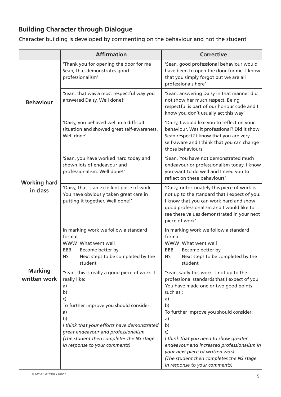## **Building Character through Dialogue**

Character building is developed by commenting on the behaviour and not the student

|                                 | <b>Affirmation</b>                                                                                                                                                                                                                                                                                                  | <b>Corrective</b>                                                                                                                                                                                                                                                                                                                                                                                                                      |
|---------------------------------|---------------------------------------------------------------------------------------------------------------------------------------------------------------------------------------------------------------------------------------------------------------------------------------------------------------------|----------------------------------------------------------------------------------------------------------------------------------------------------------------------------------------------------------------------------------------------------------------------------------------------------------------------------------------------------------------------------------------------------------------------------------------|
| <b>Behaviour</b>                | 'Thank you for opening the door for me<br>Sean, that demonstrates good<br>professionalism'                                                                                                                                                                                                                          | 'Sean, good professional behaviour would<br>have been to open the door for me. I know<br>that you simply forgot but we are all<br>professionals here'                                                                                                                                                                                                                                                                                  |
|                                 | 'Sean, that was a most respectful way you<br>answered Daisy. Well done!'                                                                                                                                                                                                                                            | 'Sean, answering Daisy in that manner did<br>not show her much respect. Being<br>respectful is part of our honour code and I<br>know you don't usually act this way'                                                                                                                                                                                                                                                                   |
|                                 | 'Daisy, you behaved well in a difficult<br>situation and showed great self-awareness.<br>Well done'                                                                                                                                                                                                                 | 'Daisy, I would like you to reflect on your<br>behaviour. Was it professional? Did it show<br>Sean respect? I know that you are very<br>self-aware and I think that you can change<br>those behaviours'                                                                                                                                                                                                                                |
| <b>Working hard</b><br>in class | 'Sean, you have worked hard today and<br>shown lots of endeavour and<br>professionalism. Well done!'                                                                                                                                                                                                                | 'Sean, You have not demonstrated much<br>endeavour or professionalism today. I know<br>you want to do well and I need you to<br>reflect on these behaviours'                                                                                                                                                                                                                                                                           |
|                                 | 'Daisy, that is an excellent piece of work.<br>You have obviously taken great care in<br>putting it together. Well done!'                                                                                                                                                                                           | 'Daisy, unfortunately this piece of work is<br>not up to the standard that I expect of you.<br>I know that you can work hard and show<br>good professionalism and I would like to<br>see these values demonstrated in your next<br>piece of work'                                                                                                                                                                                      |
|                                 | In marking work we follow a standard<br>format<br>WWW What went well<br><b>BBB</b><br>Become better by<br>Next steps to be completed by the<br><b>NS</b><br>student                                                                                                                                                 | In marking work we follow a standard<br>format<br>WWW What went well<br><b>BBB</b><br>Become better by<br><b>NS</b><br>Next steps to be completed by the<br>student                                                                                                                                                                                                                                                                    |
| <b>Marking</b><br>written work  | 'Sean, this is really a good piece of work. I<br>really like:<br>a)<br>b)<br>$\mathsf{c}$<br>To further improve you should consider:<br>a)<br>b)<br>I think that your efforts have demonstrated<br>great endeavour and professionalism<br>(The student then completes the NS stage<br>in response to your comments) | 'Sean, sadly this work is not up to the<br>professional standards that I expect of you.<br>You have made one or two good points<br>such as:<br>a)<br>b)<br>To further improve you should consider:<br>a)<br>b)<br>$\mathsf{c}$<br>I think that you need to show greater<br>endeavour and increased professionalism in<br>your next piece of written work.<br>(The student then completes the NS stage<br>in response to your comments) |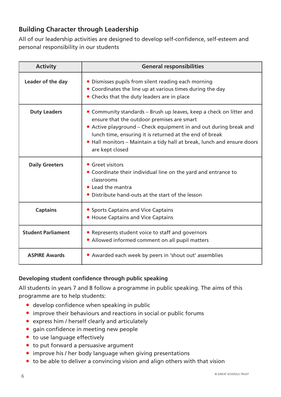#### **Building Character through Leadership**

All of our leadership activities are designed to develop self-confidence, self-esteem and personal responsibility in our students

| <b>Activity</b>           | <b>General responsibilities</b>                                                                                                                                                                                                                                                                                                                 |
|---------------------------|-------------------------------------------------------------------------------------------------------------------------------------------------------------------------------------------------------------------------------------------------------------------------------------------------------------------------------------------------|
| Leader of the day         | • Dismisses pupils from silent reading each morning<br>• Coordinates the line up at various times during the day<br>• Checks that the duty leaders are in place                                                                                                                                                                                 |
| <b>Duty Leaders</b>       | • Community standards – Brush up leaves, keep a check on litter and<br>ensure that the outdoor premises are smart<br>• Active playground – Check equipment in and out during break and<br>lunch time, ensuring it is returned at the end of break<br>• Hall monitors – Maintain a tidy hall at break, lunch and ensure doors<br>are kept closed |
| <b>Daily Greeters</b>     | • Greet visitors<br>• Coordinate their individual line on the yard and entrance to<br>classrooms<br>• Lead the mantra<br>• Distribute hand-outs at the start of the lesson                                                                                                                                                                      |
| <b>Captains</b>           | • Sports Captains and Vice Captains<br>• House Captains and Vice Captains                                                                                                                                                                                                                                                                       |
| <b>Student Parliament</b> | • Represents student voice to staff and governors<br>• Allowed informed comment on all pupil matters                                                                                                                                                                                                                                            |
| <b>ASPIRE Awards</b>      | • Awarded each week by peers in 'shout out' assemblies                                                                                                                                                                                                                                                                                          |

#### **Developing student confidence through public speaking**

All students in years 7 and 8 follow a programme in public speaking. The aims of this programme are to help students:

- develop confidence when speaking in public
- improve their behaviours and reactions in social or public forums
- express him / herself clearly and articulately
- gain confidence in meeting new people
- to use language effectively
- to put forward a persuasive argument
- improve his / her body language when giving presentations
- to be able to deliver a convincing vision and align others with that vision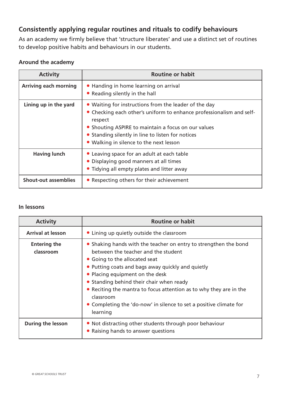## **Consistently applying regular routines and rituals to codify behaviours**

As an academy we firmly believe that 'structure liberates' and use a distinct set of routines to develop positive habits and behaviours in our students.

#### **Around the academy**

| <b>Activity</b>              | <b>Routine or habit</b>                                                                                                                                                                                                                                                                         |
|------------------------------|-------------------------------------------------------------------------------------------------------------------------------------------------------------------------------------------------------------------------------------------------------------------------------------------------|
| <b>Arriving each morning</b> | • Handing in home learning on arrival<br>• Reading silently in the hall                                                                                                                                                                                                                         |
| Lining up in the yard        | • Waiting for instructions from the leader of the day<br>• Checking each other's uniform to enhance professionalism and self-<br>respect<br>• Shouting ASPIRE to maintain a focus on our values<br>• Standing silently in line to listen for notices<br>• Walking in silence to the next lesson |
| <b>Having lunch</b>          | • Leaving space for an adult at each table<br>• Displaying good manners at all times<br>• Tidying all empty plates and litter away                                                                                                                                                              |
| <b>Shout-out assemblies</b>  | • Respecting others for their achievement                                                                                                                                                                                                                                                       |

#### **In lessons**

| <b>Activity</b>                  | <b>Routine or habit</b>                                                                                                                                                                                                                                                                                                                                                                                                                           |
|----------------------------------|---------------------------------------------------------------------------------------------------------------------------------------------------------------------------------------------------------------------------------------------------------------------------------------------------------------------------------------------------------------------------------------------------------------------------------------------------|
| <b>Arrival at lesson</b>         | • Lining up quietly outside the classroom                                                                                                                                                                                                                                                                                                                                                                                                         |
| <b>Entering the</b><br>classroom | • Shaking hands with the teacher on entry to strengthen the bond<br>between the teacher and the student<br>• Going to the allocated seat<br>• Putting coats and bags away quickly and quietly<br>• Placing equipment on the desk<br>• Standing behind their chair when ready<br>• Reciting the mantra to focus attention as to why they are in the<br>classroom<br>• Completing the 'do-now' in silence to set a positive climate for<br>learning |
| <b>During the lesson</b>         | • Not distracting other students through poor behaviour<br>• Raising hands to answer questions                                                                                                                                                                                                                                                                                                                                                    |